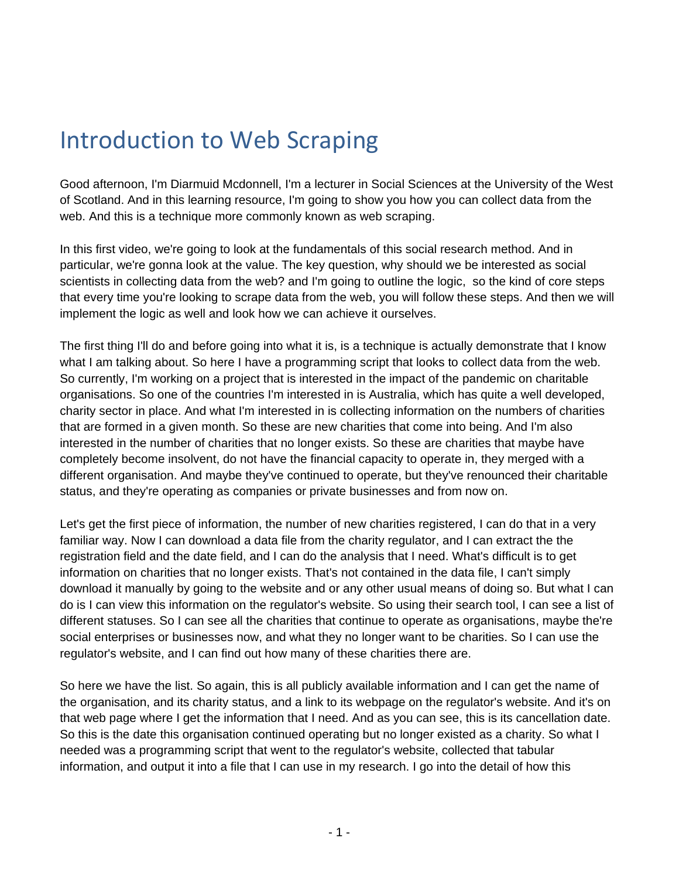## Introduction to Web Scraping

Good afternoon, I'm Diarmuid Mcdonnell, I'm a lecturer in Social Sciences at the University of the West of Scotland. And in this learning resource, I'm going to show you how you can collect data from the web. And this is a technique more commonly known as web scraping.

In this first video, we're going to look at the fundamentals of this social research method. And in particular, we're gonna look at the value. The key question, why should we be interested as social scientists in collecting data from the web? and I'm going to outline the logic, so the kind of core steps that every time you're looking to scrape data from the web, you will follow these steps. And then we will implement the logic as well and look how we can achieve it ourselves.

The first thing I'll do and before going into what it is, is a technique is actually demonstrate that I know what I am talking about. So here I have a programming script that looks to collect data from the web. So currently, I'm working on a project that is interested in the impact of the pandemic on charitable organisations. So one of the countries I'm interested in is Australia, which has quite a well developed, charity sector in place. And what I'm interested in is collecting information on the numbers of charities that are formed in a given month. So these are new charities that come into being. And I'm also interested in the number of charities that no longer exists. So these are charities that maybe have completely become insolvent, do not have the financial capacity to operate in, they merged with a different organisation. And maybe they've continued to operate, but they've renounced their charitable status, and they're operating as companies or private businesses and from now on.

Let's get the first piece of information, the number of new charities registered, I can do that in a very familiar way. Now I can download a data file from the charity regulator, and I can extract the the registration field and the date field, and I can do the analysis that I need. What's difficult is to get information on charities that no longer exists. That's not contained in the data file, I can't simply download it manually by going to the website and or any other usual means of doing so. But what I can do is I can view this information on the regulator's website. So using their search tool, I can see a list of different statuses. So I can see all the charities that continue to operate as organisations, maybe the're social enterprises or businesses now, and what they no longer want to be charities. So I can use the regulator's website, and I can find out how many of these charities there are.

So here we have the list. So again, this is all publicly available information and I can get the name of the organisation, and its charity status, and a link to its webpage on the regulator's website. And it's on that web page where I get the information that I need. And as you can see, this is its cancellation date. So this is the date this organisation continued operating but no longer existed as a charity. So what I needed was a programming script that went to the regulator's website, collected that tabular information, and output it into a file that I can use in my research. I go into the detail of how this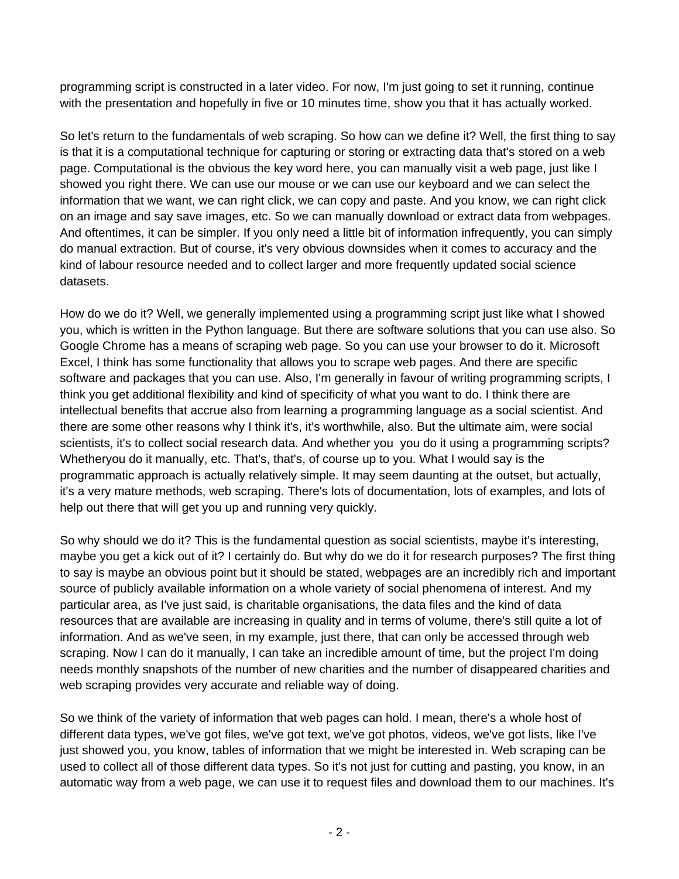programming script is constructed in a later video. For now, I'm just going to set it running, continue with the presentation and hopefully in five or 10 minutes time, show you that it has actually worked.

So let's return to the fundamentals of web scraping. So how can we define it? Well, the first thing to say is that it is a computational technique for capturing or storing or extracting data that's stored on a web page. Computational is the obvious the key word here, you can manually visit a web page, just like I showed you right there. We can use our mouse or we can use our keyboard and we can select the information that we want, we can right click, we can copy and paste. And you know, we can right click on an image and say save images, etc. So we can manually download or extract data from webpages. And oftentimes, it can be simpler. If you only need a little bit of information infrequently, you can simply do manual extraction. But of course, it's very obvious downsides when it comes to accuracy and the kind of labour resource needed and to collect larger and more frequently updated social science datasets.

How do we do it? Well, we generally implemented using a programming script just like what I showed you, which is written in the Python language. But there are software solutions that you can use also. So Google Chrome has a means of scraping web page. So you can use your browser to do it. Microsoft Excel, I think has some functionality that allows you to scrape web pages. And there are specific software and packages that you can use. Also, I'm generally in favour of writing programming scripts, I think you get additional flexibility and kind of specificity of what you want to do. I think there are intellectual benefits that accrue also from learning a programming language as a social scientist. And there are some other reasons why I think it's, it's worthwhile, also. But the ultimate aim, were social scientists, it's to collect social research data. And whether you you do it using a programming scripts? Whetheryou do it manually, etc. That's, that's, of course up to you. What I would say is the programmatic approach is actually relatively simple. It may seem daunting at the outset, but actually, it's a very mature methods, web scraping. There's lots of documentation, lots of examples, and lots of help out there that will get you up and running very quickly.

So why should we do it? This is the fundamental question as social scientists, maybe it's interesting, maybe you get a kick out of it? I certainly do. But why do we do it for research purposes? The first thing to say is maybe an obvious point but it should be stated, webpages are an incredibly rich and important source of publicly available information on a whole variety of social phenomena of interest. And my particular area, as I've just said, is charitable organisations, the data files and the kind of data resources that are available are increasing in quality and in terms of volume, there's still quite a lot of information. And as we've seen, in my example, just there, that can only be accessed through web scraping. Now I can do it manually, I can take an incredible amount of time, but the project I'm doing needs monthly snapshots of the number of new charities and the number of disappeared charities and web scraping provides very accurate and reliable way of doing.

So we think of the variety of information that web pages can hold. I mean, there's a whole host of different data types, we've got files, we've got text, we've got photos, videos, we've got lists, like I've just showed you, you know, tables of information that we might be interested in. Web scraping can be used to collect all of those different data types. So it's not just for cutting and pasting, you know, in an automatic way from a web page, we can use it to request files and download them to our machines. It's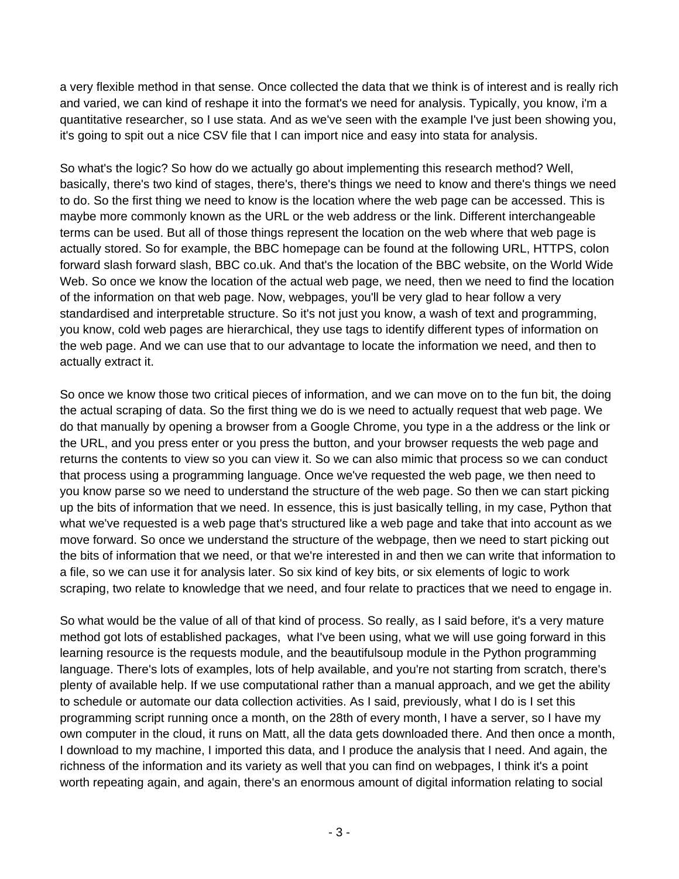a very flexible method in that sense. Once collected the data that we think is of interest and is really rich and varied, we can kind of reshape it into the format's we need for analysis. Typically, you know, i'm a quantitative researcher, so I use stata. And as we've seen with the example I've just been showing you, it's going to spit out a nice CSV file that I can import nice and easy into stata for analysis.

So what's the logic? So how do we actually go about implementing this research method? Well, basically, there's two kind of stages, there's, there's things we need to know and there's things we need to do. So the first thing we need to know is the location where the web page can be accessed. This is maybe more commonly known as the URL or the web address or the link. Different interchangeable terms can be used. But all of those things represent the location on the web where that web page is actually stored. So for example, the BBC homepage can be found at the following URL, HTTPS, colon forward slash forward slash, BBC co.uk. And that's the location of the BBC website, on the World Wide Web. So once we know the location of the actual web page, we need, then we need to find the location of the information on that web page. Now, webpages, you'll be very glad to hear follow a very standardised and interpretable structure. So it's not just you know, a wash of text and programming, you know, cold web pages are hierarchical, they use tags to identify different types of information on the web page. And we can use that to our advantage to locate the information we need, and then to actually extract it.

So once we know those two critical pieces of information, and we can move on to the fun bit, the doing the actual scraping of data. So the first thing we do is we need to actually request that web page. We do that manually by opening a browser from a Google Chrome, you type in a the address or the link or the URL, and you press enter or you press the button, and your browser requests the web page and returns the contents to view so you can view it. So we can also mimic that process so we can conduct that process using a programming language. Once we've requested the web page, we then need to you know parse so we need to understand the structure of the web page. So then we can start picking up the bits of information that we need. In essence, this is just basically telling, in my case, Python that what we've requested is a web page that's structured like a web page and take that into account as we move forward. So once we understand the structure of the webpage, then we need to start picking out the bits of information that we need, or that we're interested in and then we can write that information to a file, so we can use it for analysis later. So six kind of key bits, or six elements of logic to work scraping, two relate to knowledge that we need, and four relate to practices that we need to engage in.

So what would be the value of all of that kind of process. So really, as I said before, it's a very mature method got lots of established packages, what I've been using, what we will use going forward in this learning resource is the requests module, and the beautifulsoup module in the Python programming language. There's lots of examples, lots of help available, and you're not starting from scratch, there's plenty of available help. If we use computational rather than a manual approach, and we get the ability to schedule or automate our data collection activities. As I said, previously, what I do is I set this programming script running once a month, on the 28th of every month, I have a server, so I have my own computer in the cloud, it runs on Matt, all the data gets downloaded there. And then once a month, I download to my machine, I imported this data, and I produce the analysis that I need. And again, the richness of the information and its variety as well that you can find on webpages, I think it's a point worth repeating again, and again, there's an enormous amount of digital information relating to social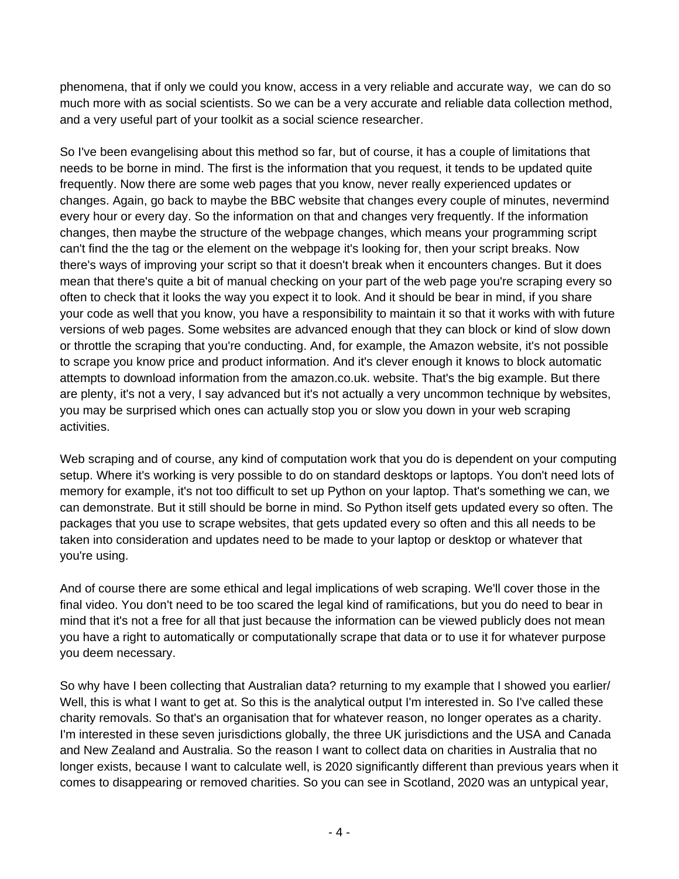phenomena, that if only we could you know, access in a very reliable and accurate way, we can do so much more with as social scientists. So we can be a very accurate and reliable data collection method, and a very useful part of your toolkit as a social science researcher.

So I've been evangelising about this method so far, but of course, it has a couple of limitations that needs to be borne in mind. The first is the information that you request, it tends to be updated quite frequently. Now there are some web pages that you know, never really experienced updates or changes. Again, go back to maybe the BBC website that changes every couple of minutes, nevermind every hour or every day. So the information on that and changes very frequently. If the information changes, then maybe the structure of the webpage changes, which means your programming script can't find the the tag or the element on the webpage it's looking for, then your script breaks. Now there's ways of improving your script so that it doesn't break when it encounters changes. But it does mean that there's quite a bit of manual checking on your part of the web page you're scraping every so often to check that it looks the way you expect it to look. And it should be bear in mind, if you share your code as well that you know, you have a responsibility to maintain it so that it works with with future versions of web pages. Some websites are advanced enough that they can block or kind of slow down or throttle the scraping that you're conducting. And, for example, the Amazon website, it's not possible to scrape you know price and product information. And it's clever enough it knows to block automatic attempts to download information from the amazon.co.uk. website. That's the big example. But there are plenty, it's not a very, I say advanced but it's not actually a very uncommon technique by websites, you may be surprised which ones can actually stop you or slow you down in your web scraping activities.

Web scraping and of course, any kind of computation work that you do is dependent on your computing setup. Where it's working is very possible to do on standard desktops or laptops. You don't need lots of memory for example, it's not too difficult to set up Python on your laptop. That's something we can, we can demonstrate. But it still should be borne in mind. So Python itself gets updated every so often. The packages that you use to scrape websites, that gets updated every so often and this all needs to be taken into consideration and updates need to be made to your laptop or desktop or whatever that you're using.

And of course there are some ethical and legal implications of web scraping. We'll cover those in the final video. You don't need to be too scared the legal kind of ramifications, but you do need to bear in mind that it's not a free for all that just because the information can be viewed publicly does not mean you have a right to automatically or computationally scrape that data or to use it for whatever purpose you deem necessary.

So why have I been collecting that Australian data? returning to my example that I showed you earlier/ Well, this is what I want to get at. So this is the analytical output I'm interested in. So I've called these charity removals. So that's an organisation that for whatever reason, no longer operates as a charity. I'm interested in these seven jurisdictions globally, the three UK jurisdictions and the USA and Canada and New Zealand and Australia. So the reason I want to collect data on charities in Australia that no longer exists, because I want to calculate well, is 2020 significantly different than previous years when it comes to disappearing or removed charities. So you can see in Scotland, 2020 was an untypical year,